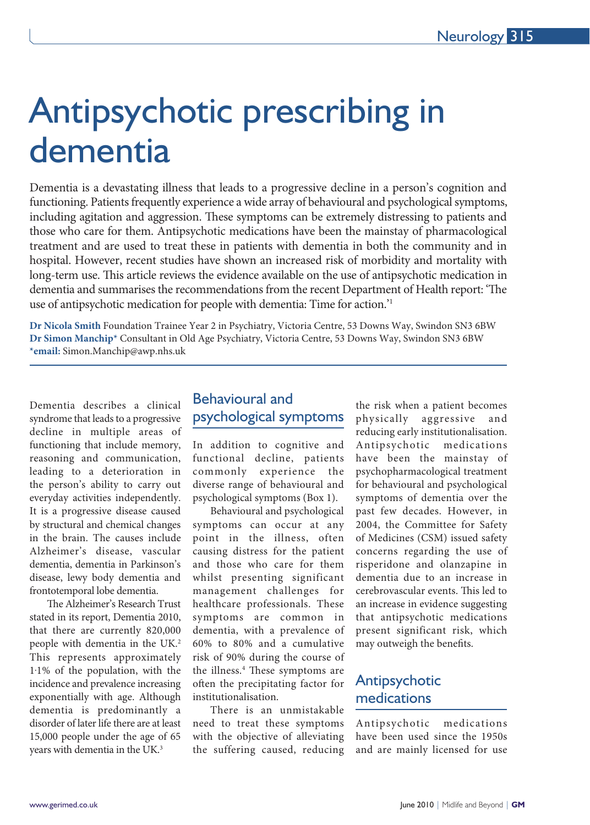# Antipsychotic prescribing in dementia

Dementia is a devastating illness that leads to a progressive decline in a person's cognition and functioning. Patients frequently experience a wide array of behavioural and psychological symptoms, including agitation and aggression. These symptoms can be extremely distressing to patients and those who care for them. Antipsychotic medications have been the mainstay of pharmacological treatment and are used to treat these in patients with dementia in both the community and in hospital. However, recent studies have shown an increased risk of morbidity and mortality with long-term use. This article reviews the evidence available on the use of antipsychotic medication in dementia and summarises the recommendations from the recent Department of Health report: 'The use of antipsychotic medication for people with dementia: Time for action.'1

**Dr Nicola Smith** Foundation Trainee Year 2 in Psychiatry, Victoria Centre, 53 Downs Way, Swindon SN3 6BW **Dr Simon Manchip\*** Consultant in Old Age Psychiatry, Victoria Centre, 53 Downs Way, Swindon SN3 6BW **\*email:** Simon.Manchip@awp.nhs.uk

Dementia describes a clinical syndrome that leads to a progressive decline in multiple areas of functioning that include memory, reasoning and communication, leading to a deterioration in the person's ability to carry out everyday activities independently. It is a progressive disease caused by structural and chemical changes in the brain. The causes include Alzheimer's disease, vascular dementia, dementia in Parkinson's disease, lewy body dementia and frontotemporal lobe dementia.

l

The Alzheimer's Research Trust stated in its report, Dementia 2010, that there are currently 820,000 people with dementia in the UK.<sup>2</sup> This represents approximately 1.1% of the population, with the incidence and prevalence increasing exponentially with age. Although dementia is predominantly a disorder of later life there are at least 15,000 people under the age of 65 years with dementia in the UK.3

# Behavioural and psychological symptoms

In addition to cognitive and functional decline, patients commonly experience the diverse range of behavioural and psychological symptoms (Box 1).

Behavioural and psychological symptoms can occur at any point in the illness, often causing distress for the patient and those who care for them whilst presenting significant management challenges for healthcare professionals. These symptoms are common in dementia, with a prevalence of 60% to 80% and a cumulative risk of 90% during the course of the illness.4 These symptoms are often the precipitating factor for institutionalisation.

There is an unmistakable need to treat these symptoms with the objective of alleviating the suffering caused, reducing

the risk when a patient becomes physically aggressive and reducing early institutionalisation. Antipsychotic medications have been the mainstay of psychopharmacological treatment for behavioural and psychological symptoms of dementia over the past few decades. However, in 2004, the Committee for Safety of Medicines (CSM) issued safety concerns regarding the use of risperidone and olanzapine in dementia due to an increase in cerebrovascular events. This led to an increase in evidence suggesting that antipsychotic medications present significant risk, which may outweigh the benefits.

# Antipsychotic medications

Antipsychotic medications have been used since the 1950s and are mainly licensed for use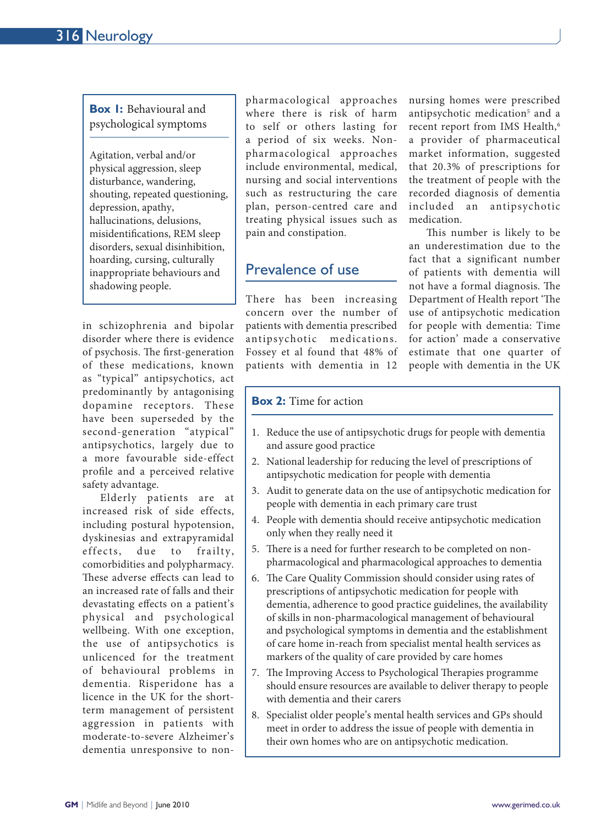#### **Box 1:** Behavioural and psychological symptoms

Agitation, verbal and/or physical aggression, sleep disturbance, wandering, shouting, repeated questioning, depression, apathy, hallucinations, delusions, misidentifications, REM sleep disorders, sexual disinhibition, hoarding, cursing, culturally inappropriate behaviours and shadowing people.

in schizophrenia and bipolar disorder where there is evidence of psychosis. The first-generation of these medications, known as "typical" antipsychotics, act predominantly by antagonising dopamine receptors. These have been superseded by the second-generation "atypical" antipsychotics, largely due to a more favourable side-effect profile and a perceived relative safety advantage.

Elderly patients are at increased risk of side effects, including postural hypotension, dyskinesias and extrapyramidal effects, due to frailty, comorbidities and polypharmacy. These adverse effects can lead to an increased rate of falls and their devastating effects on a patient's physical and psychological wellbeing. With one exception, the use of antipsychotics is unlicenced for the treatment of behavioural problems in dementia. Risperidone has a licence in the UK for the shortterm management of persistent aggression in patients with moderate-to-severe Alzheimer's dementia unresponsive to nonpharmacological approaches where there is risk of harm to self or others lasting for a period of six weeks. Nonpharmacological approaches include environmental, medical, nursing and social interventions such as restructuring the care plan, person-centred care and treating physical issues such as pain and constipation.

# Prevalence of use

There has been increasing concern over the number of patients with dementia prescribed antipsychotic medications. Fossey et al found that 48% of patients with dementia in 12

nursing homes were prescribed antipsychotic medication<sup>5</sup> and a recent report from IMS Health,<sup>6</sup> a provider of pharmaceutical market information, suggested that 20.3% of prescriptions for the treatment of people with the recorded diagnosis of dementia included an antipsychotic medication.

This number is likely to be an underestimation due to the fact that a significant number of patients with dementia will not have a formal diagnosis. The Department of Health report 'The use of antipsychotic medication for people with dementia: Time for action' made a conservative estimate that one quarter of people with dementia in the UK

### **Box 2:** Time for action

- 1. Reduce the use of antipsychotic drugs for people with dementia and assure good practice
- 2. National leadership for reducing the level of prescriptions of antipsychotic medication for people with dementia
- 3. Audit to generate data on the use of antipsychotic medication for people with dementia in each primary care trust
- 4. People with dementia should receive antipsychotic medication only when they really need it
- 5. There is a need for further research to be completed on nonpharmacological and pharmacological approaches to dementia
- 6. The Care Quality Commission should consider using rates of prescriptions of antipsychotic medication for people with dementia, adherence to good practice guidelines, the availability of skills in non-pharmacological management of behavioural and psychological symptoms in dementia and the establishment of care home in-reach from specialist mental health services as markers of the quality of care provided by care homes
- 7. The Improving Access to Psychological Therapies programme should ensure resources are available to deliver therapy to people with dementia and their carers
- 8. Specialist older people's mental health services and GPs should meet in order to address the issue of people with dementia in their own homes who are on antipsychotic medication.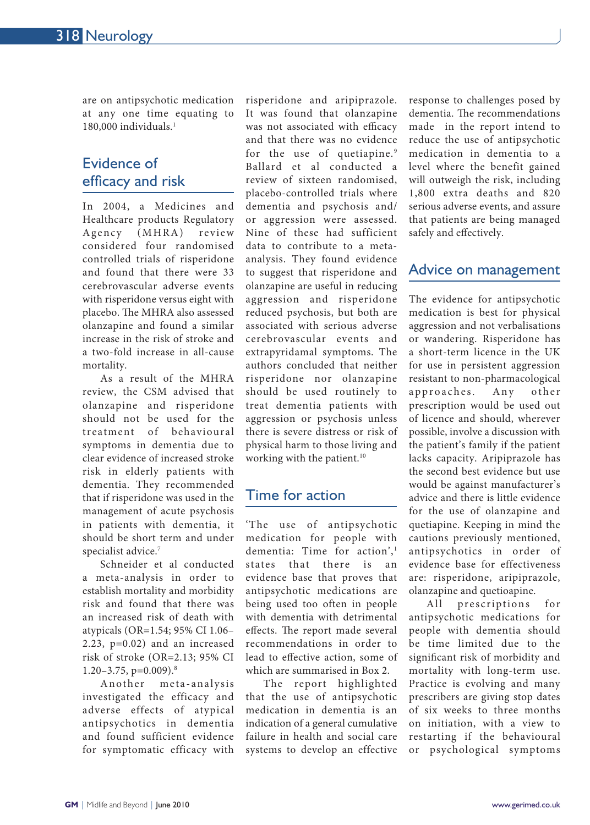are on antipsychotic medication at any one time equating to 180,000 individuals.1

# Evidence of efficacy and risk

In 2004, a Medicines and Healthcare products Regulatory Agency (MHRA) review considered four randomised controlled trials of risperidone and found that there were 33 cerebrovascular adverse events with risperidone versus eight with placebo. The MHRA also assessed olanzapine and found a similar increase in the risk of stroke and a two-fold increase in all-cause mortality.

As a result of the MHRA review, the CSM advised that olanzapine and risperidone should not be used for the treatment of behavioural symptoms in dementia due to clear evidence of increased stroke risk in elderly patients with dementia. They recommended that if risperidone was used in the management of acute psychosis in patients with dementia, it should be short term and under specialist advice.<sup>7</sup>

Schneider et al conducted a meta-analysis in order to establish mortality and morbidity risk and found that there was an increased risk of death with atypicals (OR=1.54; 95% CI 1.06– 2.23, p=0.02) and an increased risk of stroke (OR=2.13; 95% CI  $1.20 - 3.75$ , p=0.009).<sup>8</sup>

Another meta-analysis investigated the efficacy and adverse effects of atypical antipsychotics in dementia and found sufficient evidence for symptomatic efficacy with

risperidone and aripiprazole. It was found that olanzapine was not associated with efficacy and that there was no evidence for the use of quetiapine.<sup>9</sup> Ballard et al conducted a review of sixteen randomised, placebo-controlled trials where dementia and psychosis and/ or aggression were assessed. Nine of these had sufficient data to contribute to a metaanalysis. They found evidence to suggest that risperidone and olanzapine are useful in reducing aggression and risperidone reduced psychosis, but both are associated with serious adverse cerebrovascular events and extrapyridamal symptoms. The authors concluded that neither risperidone nor olanzapine should be used routinely to treat dementia patients with aggression or psychosis unless there is severe distress or risk of physical harm to those living and working with the patient.<sup>10</sup>

# Time for action

'The use of antipsychotic medication for people with dementia: Time for action',<sup>1</sup> states that there is an evidence base that proves that antipsychotic medications are being used too often in people with dementia with detrimental effects. The report made several recommendations in order to lead to effective action, some of which are summarised in Box 2.

The report highlighted that the use of antipsychotic medication in dementia is an indication of a general cumulative failure in health and social care systems to develop an effective

response to challenges posed by dementia. The recommendations made in the report intend to reduce the use of antipsychotic medication in dementia to a level where the benefit gained will outweigh the risk, including 1,800 extra deaths and 820 serious adverse events, and assure that patients are being managed safely and effectively.

## Advice on management

The evidence for antipsychotic medication is best for physical aggression and not verbalisations or wandering. Risperidone has a short-term licence in the UK for use in persistent aggression resistant to non-pharmacological approaches. Any other prescription would be used out of licence and should, wherever possible, involve a discussion with the patient's family if the patient lacks capacity. Aripiprazole has the second best evidence but use would be against manufacturer's advice and there is little evidence for the use of olanzapine and quetiapine. Keeping in mind the cautions previously mentioned, antipsychotics in order of evidence base for effectiveness are: risperidone, aripiprazole, olanzapine and quetioapine.

All prescriptions for antipsychotic medications for people with dementia should be time limited due to the significant risk of morbidity and mortality with long-term use. Practice is evolving and many prescribers are giving stop dates of six weeks to three months on initiation, with a view to restarting if the behavioural or psychological symptoms